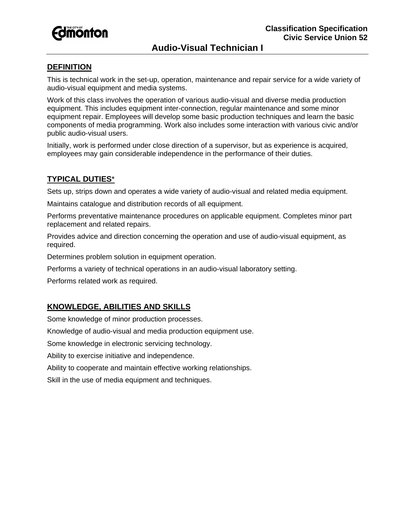

# **Audio-Visual Technician I**

### **DEFINITION**

This is technical work in the set-up, operation, maintenance and repair service for a wide variety of audio-visual equipment and media systems.

Work of this class involves the operation of various audio-visual and diverse media production equipment. This includes equipment inter-connection, regular maintenance and some minor equipment repair. Employees will develop some basic production techniques and learn the basic components of media programming. Work also includes some interaction with various civic and/or public audio-visual users.

Initially, work is performed under close direction of a supervisor, but as experience is acquired, employees may gain considerable independence in the performance of their duties.

#### **TYPICAL DUTIES**\*

Sets up, strips down and operates a wide variety of audio-visual and related media equipment.

Maintains catalogue and distribution records of all equipment.

Performs preventative maintenance procedures on applicable equipment. Completes minor part replacement and related repairs.

Provides advice and direction concerning the operation and use of audio-visual equipment, as required.

Determines problem solution in equipment operation.

Performs a variety of technical operations in an audio-visual laboratory setting.

Performs related work as required.

## **KNOWLEDGE, ABILITIES AND SKILLS**

Some knowledge of minor production processes.

Knowledge of audio-visual and media production equipment use.

Some knowledge in electronic servicing technology.

Ability to exercise initiative and independence.

Ability to cooperate and maintain effective working relationships.

Skill in the use of media equipment and techniques.